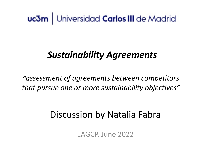### uc3m | Universidad Carlos III de Madrid

### *Sustainability Agreements*

*"assessment of agreements between competitors that pursue one or more sustainability objectives"*

### Discussion by Natalia Fabra

EAGCP, June 2022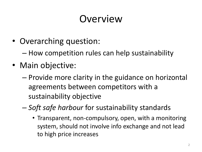## **Overview**

- Overarching question:
	- How competition rules can help sustainability
- Main objective:
	- Provide more clarity in the guidance on horizontal agreements between competitors with a sustainability objective
	- *Soft safe harbour* for sustainability standards
		- Transparent, non-compulsory, open, with a monitoring system, should not involve info exchange and not lead to high price increases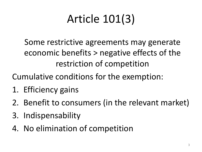# Article 101(3)

Some restrictive agreements may generate economic benefits > negative effects of the restriction of competition

Cumulative conditions for the exemption:

- 1. Efficiency gains
- 2. Benefit to consumers (in the relevant market)
- 3. Indispensability
- 4. No elimination of competition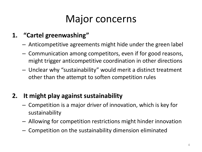## Major concerns

### **1. "Cartel greenwashing"**

- Anticompetitive agreements might hide under the green label
- Communication among competitors, even if for good reasons, might trigger anticompetitive coordination in other directions
- Unclear why "sustainability" would merit a distinct treatment other than the attempt to soften competition rules

### **2. It might play against sustainability**

- Competition is a major driver of innovation, which is key for sustainability
- Allowing for competition restrictions might hinder innovation
- Competition on the sustainability dimension eliminated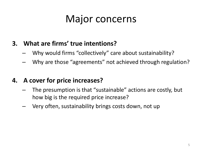### Major concerns

#### **3. What are firms' true intentions?**

- Why would firms "collectively" care about sustainability?
- Why are those "agreements" not achieved through regulation?

#### **4. A cover for price increases?**

- The presumption is that "sustainable" actions are costly, but how big is the required price increase?
- Very often, sustainability brings costs down, not up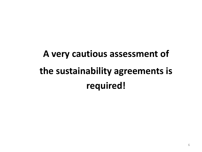# **A very cautious assessment of the sustainability agreements is required!**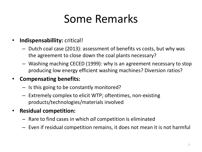## Some Remarks

#### • **Indispensabillity:** critical!

- Dutch coal case (2013): assessment of benefits vs costs, but why was the agreement to close down the coal plants necessary?
- Washing maching CECED (1999): why is an agreement necessary to stop producing low energy efficient washing machines? Diversion ratios?

#### • **Compensating benefits:**

- Is this going to be constantly monitored?
- Extremely complex to elicit WTP; oftentimes, non-existing products/technologies/materials involved
- **Residual competition:**
	- Rare to find cases in which *all* competition is eliminated
	- Even if residual competition remains, it does not mean it is not harmful